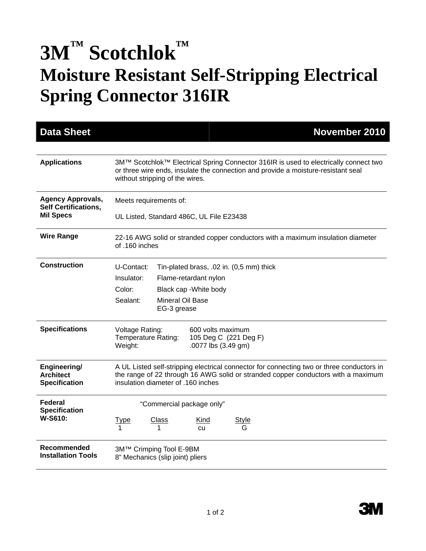## 3M™ Scotchlok™ **Moisture Resistant Self-Stripping Electrical Spring Connector 316IR**

| <b>Data Sheet</b>                                        |                                                                                                                                                                                                                      |                                 |                                          |              | November 2010 |  |
|----------------------------------------------------------|----------------------------------------------------------------------------------------------------------------------------------------------------------------------------------------------------------------------|---------------------------------|------------------------------------------|--------------|---------------|--|
|                                                          |                                                                                                                                                                                                                      |                                 |                                          |              |               |  |
| <b>Applications</b>                                      | 3M™ Scotchlok™ Electrical Spring Connector 316IR is used to electrically connect two<br>or three wire ends, insulate the connection and provide a moisture-resistant seal<br>without stripping of the wires.         |                                 |                                          |              |               |  |
| <b>Agency Approvals,</b><br><b>Self Certifications,</b>  | Meets requirements of:                                                                                                                                                                                               |                                 |                                          |              |               |  |
| <b>Mil Specs</b>                                         | UL Listed, Standard 486C, UL File E23438                                                                                                                                                                             |                                 |                                          |              |               |  |
| <b>Wire Range</b>                                        | 22-16 AWG solid or stranded copper conductors with a maximum insulation diameter<br>of .160 inches                                                                                                                   |                                 |                                          |              |               |  |
| <b>Construction</b>                                      | U-Contact:                                                                                                                                                                                                           |                                 | Tin-plated brass, .02 in. (0,5 mm) thick |              |               |  |
|                                                          | Insulator:                                                                                                                                                                                                           |                                 | Flame-retardant nylon                    |              |               |  |
|                                                          | Color:                                                                                                                                                                                                               |                                 | Black cap - White body                   |              |               |  |
|                                                          | Sealant:                                                                                                                                                                                                             | Mineral Oil Base<br>EG-3 grease |                                          |              |               |  |
| <b>Specifications</b>                                    | Voltage Rating:<br>600 volts maximum<br>Temperature Rating:<br>105 Deg C (221 Deg F)<br>Weight:<br>.0077 lbs (3.49 gm)                                                                                               |                                 |                                          |              |               |  |
| Engineering/<br><b>Architect</b><br><b>Specification</b> | A UL Listed self-stripping electrical connector for connecting two or three conductors in<br>the range of 22 through 16 AWG solid or stranded copper conductors with a maximum<br>insulation diameter of .160 inches |                                 |                                          |              |               |  |
| Federal<br><b>Specification</b><br>W-S610:               | "Commercial package only"                                                                                                                                                                                            |                                 |                                          |              |               |  |
|                                                          | <u>Type</u>                                                                                                                                                                                                          | Class                           | Kind<br><b>CU</b>                        | <u>Style</u> |               |  |
| Recommended<br><b>Installation Tools</b>                 | 3M™ Crimping Tool E-9BM<br>8" Mechanics (slip joint) pliers                                                                                                                                                          |                                 |                                          |              |               |  |